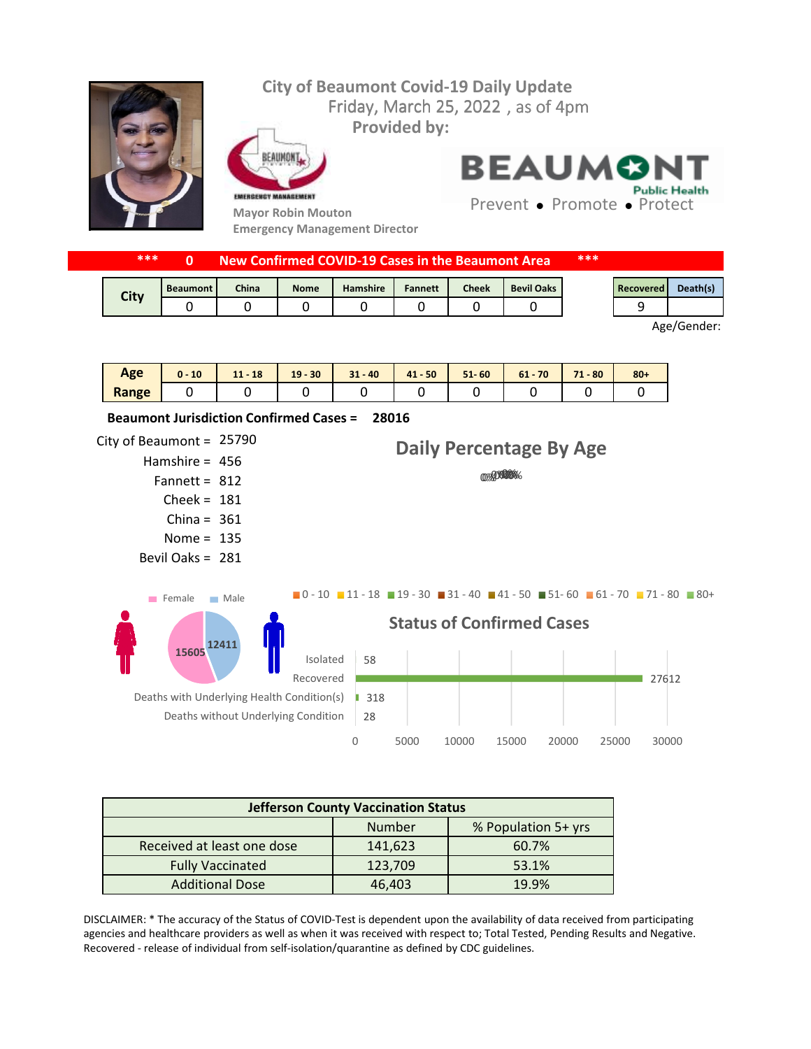## **City of Beaumont Covid-19 Daily Update** Friday, March 25, 2022, as of 4pm **Provided by:** FAIIMON **BEAUMONT Public Health** EMERGENCY MANAGEMENT Prevent • Promote • Protect **Mayor Robin Mouton**

**Emergency Management Director**

|             | ***<br>New Confirmed COVID-19 Cases in the Beaumont Area |              |             |          |                | ***          |                   |  |           |          |
|-------------|----------------------------------------------------------|--------------|-------------|----------|----------------|--------------|-------------------|--|-----------|----------|
| <b>City</b> | <b>Beaumont</b>                                          | <b>China</b> | <b>Nome</b> | Hamshire | <b>Fannett</b> | <b>Cheek</b> | <b>Bevil Oaks</b> |  | Recovered | Death(s) |
|             |                                                          |              |             |          |                |              |                   |  |           |          |

Age/Gender:

| Age   | 10<br>$\mathbf{0}$ - | 18<br>A<br>. . | $-30$<br>19 | $31 - 40$ | $41 - 50$ | 60<br>$51 -$ | 70<br>61 | $-80$<br>74 | $80 +$ |
|-------|----------------------|----------------|-------------|-----------|-----------|--------------|----------|-------------|--------|
| Range |                      |                |             |           |           |              |          |             |        |

City of Beaumont =  $25790$ Hamshire = 456 Fannett =  $812$  $Check = 181$ China =  $361$ Nome =  $135$ Bevil Oaks = 281 **28016 Beaumont Jurisdiction Confirmed Cases =**  28 ■ 318 27612 58 0 5000 10000 15000 20000 25000 30000 Deaths without Underlying Condition Deaths with Underlying Health Condition(s) Recovered Isolated **Status of Confirmed Cases** 0%000 0% **Daily Percentage By Age**  $\blacksquare$ 0 - 10  $\blacksquare$  11 - 18  $\blacksquare$  19 - 30  $\blacksquare$  31 - 40  $\blacksquare$  41 - 50  $\blacksquare$  51 - 60  $\blacksquare$  61 - 70  $\blacksquare$  71 - 80  $\blacksquare$  80 + **12411 15605** Female Male

| <b>Jefferson County Vaccination Status</b> |         |                     |  |  |
|--------------------------------------------|---------|---------------------|--|--|
|                                            | Number  | % Population 5+ yrs |  |  |
| Received at least one dose                 | 141,623 | 60.7%               |  |  |
| <b>Fully Vaccinated</b>                    | 123,709 | 53.1%               |  |  |
| <b>Additional Dose</b>                     | 46,403  | 19.9%               |  |  |

DISCLAIMER: \* The accuracy of the Status of COVID-Test is dependent upon the availability of data received from participating agencies and healthcare providers as well as when it was received with respect to; Total Tested, Pending Results and Negative. Recovered - release of individual from self-isolation/quarantine as defined by CDC guidelines.